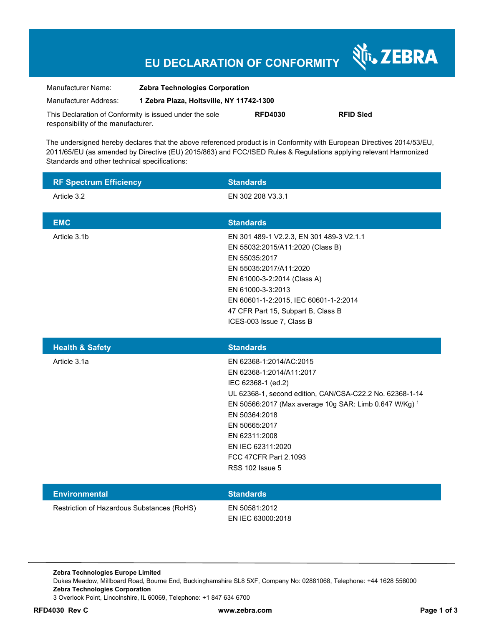# **EU DECLARATION OF CONFORMITY**

Nr. ZEBRA

| Manufacturer Name:                                      | <b>Zebra Technologies Corporation</b>    |                |                  |
|---------------------------------------------------------|------------------------------------------|----------------|------------------|
| Manufacturer Address:                                   | 1 Zebra Plaza, Holtsville, NY 11742-1300 |                |                  |
| This Declaration of Conformity is issued under the sole |                                          | <b>RFD4030</b> | <b>RFID Sled</b> |
| responsibility of the manufacturer.                     |                                          |                |                  |

The undersigned hereby declares that the above referenced product is in Conformity with European Directives 2014/53/EU, 2011/65/EU (as amended by Directive (EU) 2015/863) and FCC/ISED Rules & Regulations applying relevant Harmonized Standards and other technical specifications:

| <b>RF Spectrum Efficiency</b>              | <b>Standards</b>                                                                                                                                                                                                                                                                                                           |
|--------------------------------------------|----------------------------------------------------------------------------------------------------------------------------------------------------------------------------------------------------------------------------------------------------------------------------------------------------------------------------|
| Article 3.2                                | EN 302 208 V3.3.1                                                                                                                                                                                                                                                                                                          |
| <b>EMC</b>                                 | <b>Standards</b>                                                                                                                                                                                                                                                                                                           |
| Article 3.1b                               | EN 301 489-1 V2.2.3, EN 301 489-3 V2.1.1<br>EN 55032:2015/A11:2020 (Class B)<br>EN 55035:2017<br>EN 55035:2017/A11:2020<br>EN 61000-3-2:2014 (Class A)<br>EN 61000-3-3:2013<br>EN 60601-1-2:2015, IEC 60601-1-2:2014<br>47 CFR Part 15, Subpart B, Class B<br>ICES-003 Issue 7, Class B                                    |
| <b>Health &amp; Safety</b>                 | <b>Standards</b>                                                                                                                                                                                                                                                                                                           |
| Article 3.1a                               | EN 62368-1:2014/AC:2015<br>EN 62368-1:2014/A11:2017<br>IEC 62368-1 (ed.2)<br>UL 62368-1, second edition, CAN/CSA-C22.2 No. 62368-1-14<br>EN 50566:2017 (Max average 10g SAR: Limb 0.647 W/Kg) 1<br>EN 50364:2018<br>EN 50665:2017<br>EN 62311:2008<br>EN IEC 62311:2020<br>FCC 47CFR Part 2.1093<br><b>RSS 102 Issue 5</b> |
| <b>Environmental</b>                       | <b>Standards</b>                                                                                                                                                                                                                                                                                                           |
| Restriction of Hazardous Substances (RoHS) | EN 50581:2012<br>EN IEC 63000:2018                                                                                                                                                                                                                                                                                         |

**Zebra Technologies Europe Limited**  Dukes Meadow, Millboard Road, Bourne End, Buckinghamshire SL8 5XF, Company No: 02881068, Telephone: +44 1628 556000 **Zebra Technologies Corporation**  3 Overlook Point, Lincolnshire, IL 60069, Telephone: +1 847 634 6700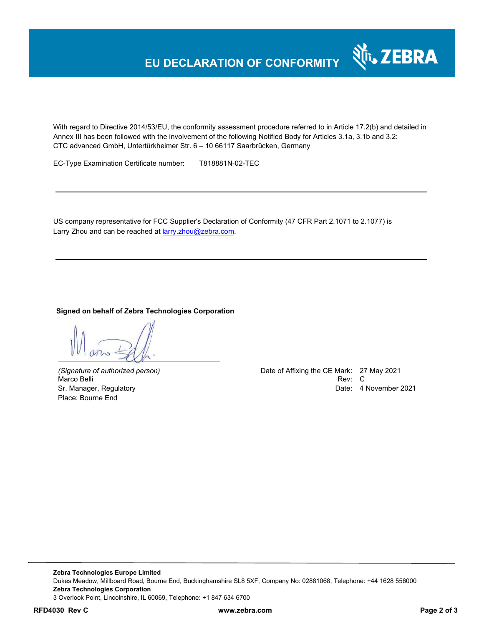

With regard to Directive 2014/53/EU, the conformity assessment procedure referred to in Article 17.2(b) and detailed in Annex III has been followed with the involvement of the following Notified Body for Articles 3.1a, 3.1b and 3.2: CTC advanced GmbH, Untertürkheimer Str. 6 – 10 66117 Saarbrücken, Germany

EC-Type Examination Certificate number: T818881N-02-TEC

US company representative for FCC Supplier's Declaration of Conformity (47 CFR Part 2.1071 to 2.1077) is Larry Zhou and can be reached at larry.zhou@zebra.com.

# **Signed on behalf of Zebra Technologies Corporation**

Place: Bourne End

*(Signature of authorized person)* Date of Affixing the CE Mark: 27 May 2021 Marco Belli Rev: C Sr. Manager, Regulatory **Date: 4 November 2021**